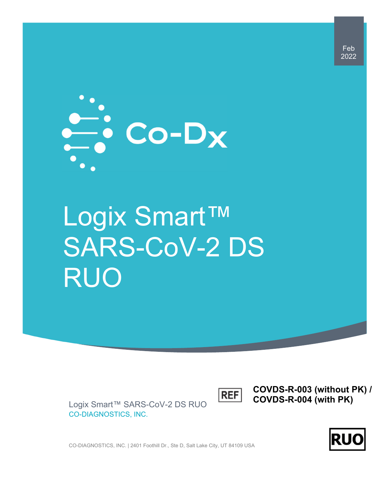

# Logix Smart™ SARS-CoV-2 DS RUO

**REF** 

**COVDS-R-003 (without PK) / COVDS-R-004 (with PK)** 

Logix Smart™ SARS-CoV-2 DS RUO CO-DIAGNOSTICS, INC.

**RU** 

CO-DIAGNOSTICS, INC. | 2401 Foothill Dr., Ste D, Salt Lake City, UT 84109 USA

Feb 2022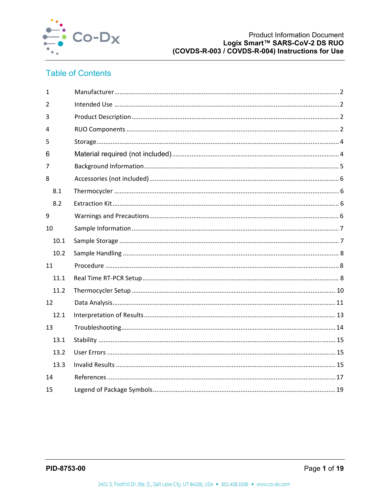

## **Table of Contents**

| $\mathbf{1}$ |  |  |
|--------------|--|--|
| 2            |  |  |
| 3            |  |  |
| 4            |  |  |
| 5            |  |  |
| 6            |  |  |
| 7            |  |  |
| 8            |  |  |
| 8.1          |  |  |
| 8.2          |  |  |
| 9            |  |  |
| 10           |  |  |
| 10.1         |  |  |
| 10.2         |  |  |
| 11           |  |  |
| 11.1         |  |  |
| 11.2         |  |  |
| 12           |  |  |
| 12.1         |  |  |
| 13           |  |  |
| 13.1         |  |  |
| 13.2         |  |  |
| 13.3         |  |  |
| 14           |  |  |
| 15           |  |  |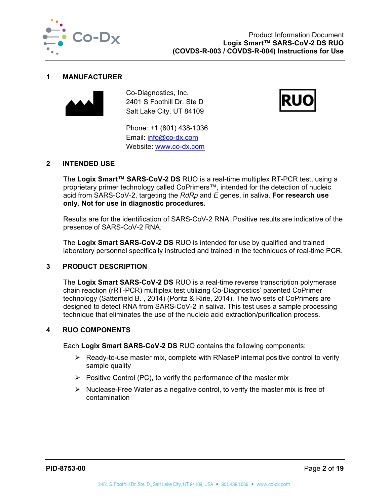

#### **1 MANUFACTURER**



Co-Diagnostics, Inc. 2401 S Foothill Dr. Ste D Salt Lake City, UT 84109



Phone: +1 (801) 438-1036 Email: info@co-dx.com Website: www.co-dx.com

#### **2 INTENDED USE**

The **Logix Smart™ SARS-CoV-2 DS** RUO is a real-time multiplex RT-PCR test, using a proprietary primer technology called CoPrimers™, intended for the detection of nucleic acid from SARS-CoV-2, targeting the *RdRp* and *E* genes, in saliva. **For research use only. Not for use in diagnostic procedures.**

Results are for the identification of SARS-CoV-2 RNA. Positive results are indicative of the presence of SARS-CoV-2 RNA.

The **Logix Smart SARS-CoV-2 DS** RUO is intended for use by qualified and trained laboratory personnel specifically instructed and trained in the techniques of real-time PCR.

## **3 PRODUCT DESCRIPTION**

The **Logix Smart SARS-CoV-2 DS** RUO is a real-time reverse transcription polymerase chain reaction (rRT-PCR) multiplex test utilizing Co-Diagnostics' patented CoPrimer technology (Satterfield B. , 2014) (Poritz & Ririe, 2014). The two sets of CoPrimers are designed to detect RNA from SARS-CoV-2 in saliva. This test uses a sample processing technique that eliminates the use of the nucleic acid extraction/purification process.

#### **4 RUO COMPONENTS**

Each **Logix Smart SARS-CoV-2 DS** RUO contains the following components:

- $\triangleright$  Ready-to-use master mix, complete with RNaseP internal positive control to verify sample quality
- $\triangleright$  Positive Control (PC), to verify the performance of the master mix
- $\triangleright$  Nuclease-Free Water as a negative control, to verify the master mix is free of contamination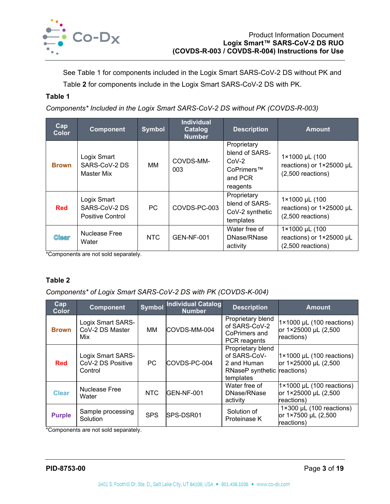

See Table 1 for components included in the Logix Smart SARS-CoV-2 DS without PK and Table **2** for components include in the Logix Smart SARS-CoV-2 DS with PK.

## **Table 1**

*Components\* Included in the Logix Smart SARS-CoV-2 DS without PK (COVDS-R-003)* 

| <b>Cap</b><br><b>Color</b> | <b>Component</b>                                        | <b>Symbol</b> | <b>Individual</b><br>Catalog<br><b>Number</b> | <b>Description</b>                                                            | <b>Amount</b>                                                     |
|----------------------------|---------------------------------------------------------|---------------|-----------------------------------------------|-------------------------------------------------------------------------------|-------------------------------------------------------------------|
| <b>Brown</b>               | Logix Smart<br>SARS-CoV-2 DS<br>Master Mix              | MМ            | COVDS-MM-<br>003                              | Proprietary<br>blend of SARS-<br>$CoV-2$<br>CoPrimers™<br>and PCR<br>reagents | 1×1000 µL (100<br>reactions) or 1×25000 µL<br>$(2,500$ reactions) |
| <b>Red</b>                 | Logix Smart<br>SARS-CoV-2 DS<br><b>Positive Control</b> | PC            | COVDS-PC-003                                  | Proprietary<br>blend of SARS-<br>CoV-2 synthetic<br>templates                 | 1×1000 µL (100<br>reactions) or 1×25000 µL<br>$(2,500$ reactions) |
| <b>Clear</b>               | <b>Nuclease Free</b><br>Water                           | NTC           | <b>GEN-NF-001</b>                             | Water free of<br>DNase/RNase<br>activity                                      | 1×1000 µL (100<br>reactions) or 1×25000 µL<br>$(2,500$ reactions) |

\*Components are not sold separately.

## **Table 2**

*Components\* of Logix Smart SARS-CoV-2 DS with PK (COVDS-K-004)* 

| <b>Cap</b><br><b>Color</b> | <b>Component</b>                                  | <b>Symbol</b> | <b>Individual Catalog</b><br><b>Number</b> | <b>Description</b>                                                                           | <b>Amount</b>                                                            |
|----------------------------|---------------------------------------------------|---------------|--------------------------------------------|----------------------------------------------------------------------------------------------|--------------------------------------------------------------------------|
| <b>Brown</b>               | Logix Smart SARS-<br>CoV-2 DS Master<br>Mix       | MМ            | COVDS-MM-004                               | Proprietary blend<br>of SARS-CoV-2<br>CoPrimers and<br>PCR reagents                          | $1 \times 1000$ µL (100 reactions)<br>or 1×25000 µL (2,500<br>reactions) |
| <b>Red</b>                 | Logix Smart SARS-<br>CoV-2 DS Positive<br>Control | PC            | COVDS-PC-004                               | Proprietary blend<br>of SARS-CoV-<br>2 and Human<br>RNaseP synthetic reactions)<br>templates | $1 \times 1000$ µL (100 reactions)<br>or 1×25000 µL (2,500               |
| <b>Clear</b>               | Nuclease Free<br>Water                            | NTC           | GEN-NF-001                                 | Water free of<br>DNase/RNase<br>activity                                                     | $1 \times 1000$ µL (100 reactions)<br>or 1×25000 µL (2,500<br>reactions) |
| <b>Purple</b>              | Sample processing<br>Solution                     | <b>SPS</b>    | SPS-DSR01                                  | Solution of<br>Proteinase K                                                                  | $1 \times 300$ µL (100 reactions)<br>or 1×7500 µL (2,500<br>reactions)   |

\*Components are not sold separately.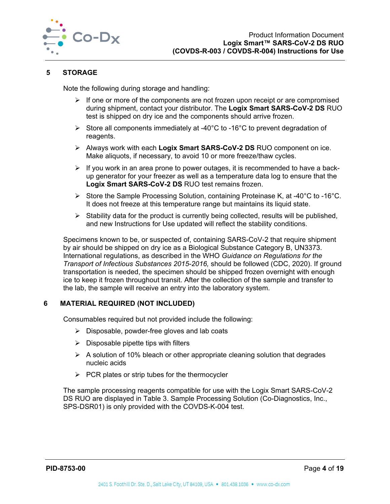

## **5 STORAGE**

Note the following during storage and handling:

- $\triangleright$  If one or more of the components are not frozen upon receipt or are compromised during shipment, contact your distributor. The **Logix Smart SARS-CoV-2 DS** RUO test is shipped on dry ice and the components should arrive frozen.
- Store all components immediately at -40 $^{\circ}$ C to -16 $^{\circ}$ C to prevent degradation of reagents.
- Always work with each **Logix Smart SARS-CoV-2 DS** RUO component on ice. Make aliquots, if necessary, to avoid 10 or more freeze/thaw cycles.
- $\triangleright$  If you work in an area prone to power outages, it is recommended to have a backup generator for your freezer as well as a temperature data log to ensure that the **Logix Smart SARS-CoV-2 DS** RUO test remains frozen.
- Store the Sample Processing Solution, containing Proteinase K, at -40 $^{\circ}$ C to -16 $^{\circ}$ C. It does not freeze at this temperature range but maintains its liquid state.
- $\triangleright$  Stability data for the product is currently being collected, results will be published, and new Instructions for Use updated will reflect the stability conditions.

Specimens known to be, or suspected of, containing SARS-CoV-2 that require shipment by air should be shipped on dry ice as a Biological Substance Category B, UN3373. International regulations, as described in the WHO *Guidance on Regulations for the Transport of Infectious Substances 2015-2016,* should be followed (CDC, 2020). If ground transportation is needed, the specimen should be shipped frozen overnight with enough ice to keep it frozen throughout transit. After the collection of the sample and transfer to the lab, the sample will receive an entry into the laboratory system.

#### **6 MATERIAL REQUIRED (NOT INCLUDED)**

Consumables required but not provided include the following:

- $\triangleright$  Disposable, powder-free gloves and lab coats
- $\triangleright$  Disposable pipette tips with filters
- $\triangleright$  A solution of 10% bleach or other appropriate cleaning solution that degrades nucleic acids
- $\triangleright$  PCR plates or strip tubes for the thermocycler

The sample processing reagents compatible for use with the Logix Smart SARS-CoV-2 DS RUO are displayed in Table 3. Sample Processing Solution (Co-Diagnostics, Inc., SPS-DSR01) is only provided with the COVDS-K-004 test.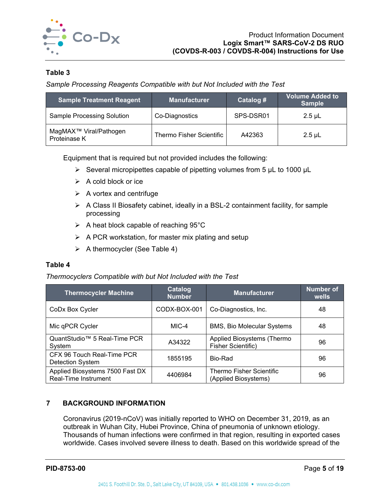

## **Table 3**

*Sample Processing Reagents Compatible with but Not Included with the Test* 

| <b>Sample Treatment Reagent</b>                    | <b>Manufacturer</b>      | Catalog # | <b>Volume Added to</b><br><b>Sample</b> |
|----------------------------------------------------|--------------------------|-----------|-----------------------------------------|
| <b>Sample Processing Solution</b>                  | Co-Diagnostics           | SPS-DSR01 | $2.5 \mu L$                             |
| MagMAX <sup>™</sup> Viral/Pathogen<br>Proteinase K | Thermo Fisher Scientific | A42363    | $2.5$ µL                                |

Equipment that is required but not provided includes the following:

- $\triangleright$  Several micropipettes capable of pipetting volumes from 5 µL to 1000 µL
- $\triangleright$  A cold block or ice
- $\triangleright$  A vortex and centrifuge
- $\triangleright$  A Class II Biosafety cabinet, ideally in a BSL-2 containment facility, for sample processing
- $\triangleright$  A heat block capable of reaching 95°C
- $\triangleright$  A PCR workstation, for master mix plating and setup
- $\triangleright$  A thermocycler (See Table 4)

#### **Table 4**

*Thermocyclers Compatible with but Not Included with the Test* 

| <b>Thermocycler Machine</b>                             | Catalog<br><b>Number</b> | <b>Manufacturer</b>                                     | <b>Number of</b><br>wells |
|---------------------------------------------------------|--------------------------|---------------------------------------------------------|---------------------------|
| CoDx Box Cycler                                         | CODX-BOX-001             | Co-Diagnostics, Inc.                                    | 48                        |
| Mic qPCR Cycler                                         | $MIC-4$                  | <b>BMS, Bio Molecular Systems</b>                       | 48                        |
| QuantStudio™ 5 Real-Time PCR<br>System                  | A34322                   | Applied Biosystems (Thermo<br>Fisher Scientific)        | 96                        |
| CFX 96 Touch Real-Time PCR<br><b>Detection System</b>   | 1855195                  | Bio-Rad                                                 | 96                        |
| Applied Biosystems 7500 Fast DX<br>Real-Time Instrument | 4406984                  | <b>Thermo Fisher Scientific</b><br>(Applied Biosystems) | 96                        |

## **7 BACKGROUND INFORMATION**

Coronavirus (2019-nCoV) was initially reported to WHO on December 31, 2019, as an outbreak in Wuhan City, Hubei Province, China of pneumonia of unknown etiology. Thousands of human infections were confirmed in that region, resulting in exported cases worldwide. Cases involved severe illness to death. Based on this worldwide spread of the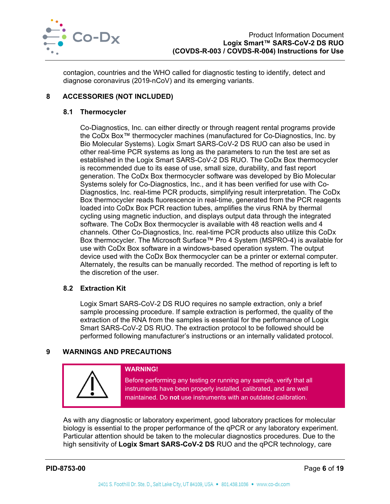

contagion, countries and the WHO called for diagnostic testing to identify, detect and diagnose coronavirus (2019-nCoV) and its emerging variants.

## **8 ACCESSORIES (NOT INCLUDED)**

## **8.1 Thermocycler**

Co-Diagnostics, Inc. can either directly or through reagent rental programs provide the CoDx Box™ thermocycler machines (manufactured for Co-Diagnostics, Inc. by Bio Molecular Systems). Logix Smart SARS-CoV-2 DS RUO can also be used in other real-time PCR systems as long as the parameters to run the test are set as established in the Logix Smart SARS-CoV-2 DS RUO. The CoDx Box thermocycler is recommended due to its ease of use, small size, durability, and fast report generation. The CoDx Box thermocycler software was developed by Bio Molecular Systems solely for Co-Diagnostics, Inc., and it has been verified for use with Co-Diagnostics, Inc. real-time PCR products, simplifying result interpretation. The CoDx Box thermocycler reads fluorescence in real-time, generated from the PCR reagents loaded into CoDx Box PCR reaction tubes, amplifies the virus RNA by thermal cycling using magnetic induction, and displays output data through the integrated software. The CoDx Box thermocycler is available with 48 reaction wells and 4 channels. Other Co-Diagnostics, Inc. real-time PCR products also utilize this CoDx Box thermocycler. The Microsoft Surface™ Pro 4 System (MSPRO-4) is available for use with CoDx Box software in a windows-based operation system. The output device used with the CoDx Box thermocycler can be a printer or external computer. Alternately, the results can be manually recorded. The method of reporting is left to the discretion of the user.

## **8.2 Extraction Kit**

Logix Smart SARS-CoV-2 DS RUO requires no sample extraction, only a brief sample processing procedure. If sample extraction is performed, the quality of the extraction of the RNA from the samples is essential for the performance of Logix Smart SARS-CoV-2 DS RUO. The extraction protocol to be followed should be performed following manufacturer's instructions or an internally validated protocol.

## **9 WARNINGS AND PRECAUTIONS**



#### **WARNING!**

Before performing any testing or running any sample, verify that all instruments have been properly installed, calibrated, and are well maintained. Do **not** use instruments with an outdated calibration.

As with any diagnostic or laboratory experiment, good laboratory practices for molecular biology is essential to the proper performance of the qPCR or any laboratory experiment. Particular attention should be taken to the molecular diagnostics procedures. Due to the high sensitivity of **Logix Smart SARS-CoV-2 DS** RUO and the qPCR technology, care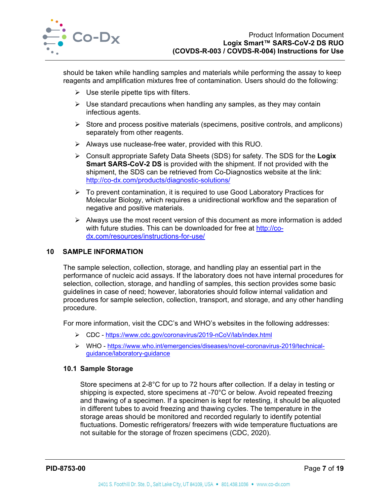

should be taken while handling samples and materials while performing the assay to keep reagents and amplification mixtures free of contamination. Users should do the following:

- $\triangleright$  Use sterile pipette tips with filters.
- $\triangleright$  Use standard precautions when handling any samples, as they may contain infectious agents.
- $\triangleright$  Store and process positive materials (specimens, positive controls, and amplicons) separately from other reagents.
- $\triangleright$  Always use nuclease-free water, provided with this RUO.
- Consult appropriate Safety Data Sheets (SDS) for safety. The SDS for the **Logix Smart SARS-CoV-2 DS** is provided with the shipment. If not provided with the shipment, the SDS can be retrieved from Co-Diagnostics website at the link: http://co-dx.com/products/diagnostic-solutions/
- $\triangleright$  To prevent contamination, it is required to use Good Laboratory Practices for Molecular Biology, which requires a unidirectional workflow and the separation of negative and positive materials.
- $\triangleright$  Always use the most recent version of this document as more information is added with future studies. This can be downloaded for free at http://codx.com/resources/instructions-for-use/

## **10 SAMPLE INFORMATION**

The sample selection, collection, storage, and handling play an essential part in the performance of nucleic acid assays. If the laboratory does not have internal procedures for selection, collection, storage, and handling of samples, this section provides some basic guidelines in case of need; however, laboratories should follow internal validation and procedures for sample selection, collection, transport, and storage, and any other handling procedure.

For more information, visit the CDC's and WHO's websites in the following addresses:

- CDC https://www.cdc.gov/coronavirus/2019-nCoV/lab/index.html
- WHO https://www.who.int/emergencies/diseases/novel-coronavirus-2019/technicalguidance/laboratory-guidance

#### **10.1 Sample Storage**

Store specimens at 2-8°C for up to 72 hours after collection. If a delay in testing or shipping is expected, store specimens at -70°C or below. Avoid repeated freezing and thawing of a specimen. If a specimen is kept for retesting, it should be aliquoted in different tubes to avoid freezing and thawing cycles. The temperature in the storage areas should be monitored and recorded regularly to identify potential fluctuations. Domestic refrigerators/ freezers with wide temperature fluctuations are not suitable for the storage of frozen specimens (CDC, 2020).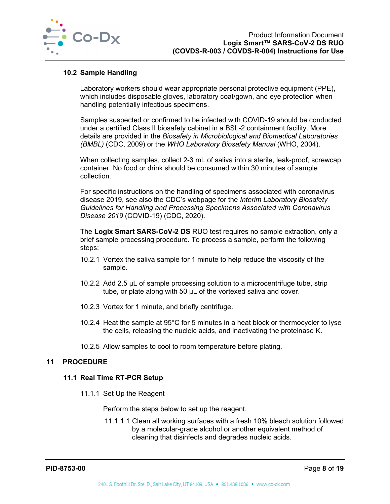

#### **10.2 Sample Handling**

Laboratory workers should wear appropriate personal protective equipment (PPE), which includes disposable gloves, laboratory coat/gown, and eye protection when handling potentially infectious specimens.

Samples suspected or confirmed to be infected with COVID-19 should be conducted under a certified Class II biosafety cabinet in a BSL-2 containment facility. More details are provided in the *Biosafety in Microbiological and Biomedical Laboratories (BMBL)* (CDC, 2009) or the *WHO Laboratory Biosafety Manual* (WHO, 2004).

When collecting samples, collect 2-3 mL of saliva into a sterile, leak-proof, screwcap container. No food or drink should be consumed within 30 minutes of sample collection.

For specific instructions on the handling of specimens associated with coronavirus disease 2019, see also the CDC's webpage for the *Interim Laboratory Biosafety Guidelines for Handling and Processing Specimens Associated with Coronavirus Disease 2019* (COVID-19) (CDC, 2020).

The **Logix Smart SARS-CoV-2 DS** RUO test requires no sample extraction, only a brief sample processing procedure. To process a sample, perform the following steps:

- 10.2.1 Vortex the saliva sample for 1 minute to help reduce the viscosity of the sample.
- 10.2.2 Add 2.5 µL of sample processing solution to a microcentrifuge tube, strip tube, or plate along with 50 µL of the vortexed saliva and cover.
- 10.2.3 Vortex for 1 minute, and briefly centrifuge.
- 10.2.4 Heat the sample at 95°C for 5 minutes in a heat block or thermocycler to lyse the cells, releasing the nucleic acids, and inactivating the proteinase K.
- 10.2.5 Allow samples to cool to room temperature before plating.

#### **11 PROCEDURE**

#### **11.1 Real Time RT-PCR Setup**

11.1.1 Set Up the Reagent

Perform the steps below to set up the reagent.

11.1.1.1 Clean all working surfaces with a fresh 10% bleach solution followed by a molecular-grade alcohol or another equivalent method of cleaning that disinfects and degrades nucleic acids.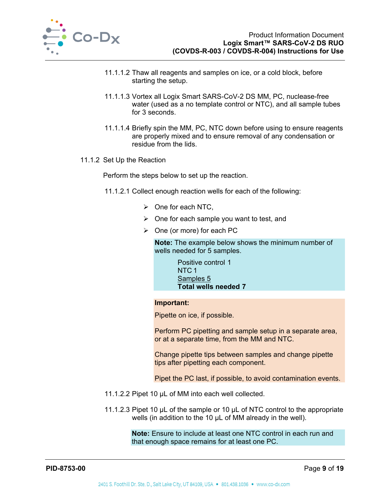

- 11.1.1.2 Thaw all reagents and samples on ice, or a cold block, before starting the setup.
- 11.1.1.3 Vortex all Logix Smart SARS-CoV-2 DS MM, PC, nuclease-free water (used as a no template control or NTC), and all sample tubes for 3 seconds.
- 11.1.1.4 Briefly spin the MM, PC, NTC down before using to ensure reagents are properly mixed and to ensure removal of any condensation or residue from the lids.
- 11.1.2 Set Up the Reaction

Perform the steps below to set up the reaction.

- 11.1.2.1 Collect enough reaction wells for each of the following:
	- $\triangleright$  One for each NTC,
	- $\triangleright$  One for each sample you want to test, and
	- $\triangleright$  One (or more) for each PC

**Note:** The example below shows the minimum number of wells needed for 5 samples.

> Positive control 1 NTC 1 Samples 5 **Total wells needed 7**

#### **Important:**

Pipette on ice, if possible.

Perform PC pipetting and sample setup in a separate area, or at a separate time, from the MM and NTC.

Change pipette tips between samples and change pipette tips after pipetting each component.

Pipet the PC last, if possible, to avoid contamination events.

- 11.1.2.2 Pipet 10 µL of MM into each well collected.
- 11.1.2.3 Pipet 10 µL of the sample or 10 µL of NTC control to the appropriate wells (in addition to the 10 µL of MM already in the well).

**Note:** Ensure to include at least one NTC control in each run and that enough space remains for at least one PC.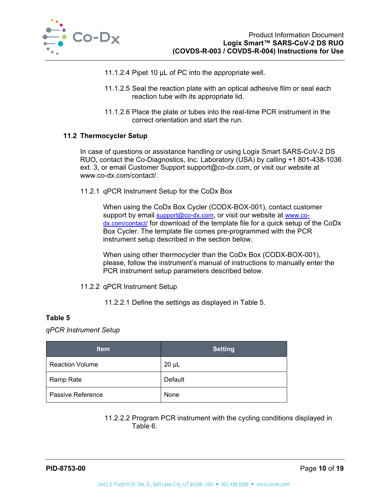

- 11.1.2.4 Pipet 10 µL of PC into the appropriate well.
- 11.1.2.5 Seal the reaction plate with an optical adhesive film or seal each reaction tube with its appropriate lid.
- 11.1.2.6 Place the plate or tubes into the real-time PCR instrument in the correct orientation and start the run.

#### **11.2 Thermocycler Setup**

In case of questions or assistance handling or using Logix Smart SARS-CoV-2 DS RUO, contact the Co-Diagnostics, Inc. Laboratory (USA) by calling +1 801-438-1036 ext. 3, or email Customer Support support@co-dx.com, or visit our website at www.co-dx.com/contact/.

11.2.1 qPCR Instrument Setup for the CoDx Box

When using the CoDx Box Cycler (CODX-BOX-001), contact customer support by email support@co-dx.com, or visit our website at www.codx.com/contact/ for download of the template file for a quick setup of the CoDx Box Cycler. The template file comes pre-programmed with the PCR instrument setup described in the section below.

When using other thermocycler than the CoDx Box (CODX-BOX-001), please, follow the instrument's manual of instructions to manually enter the PCR instrument setup parameters described below.

11.2.2 qPCR Instrument Setup

11.2.2.1 Define the settings as displayed in Table 5.

#### **Table 5**

*qPCR Instrument Setup* 

| <b>Item</b>            | <b>Setting</b> |
|------------------------|----------------|
| <b>Reaction Volume</b> | $20 \mu L$     |
| Ramp Rate              | Default        |
| Passive Reference      | None           |

11.2.2.2 Program PCR instrument with the cycling conditions displayed in Table 6.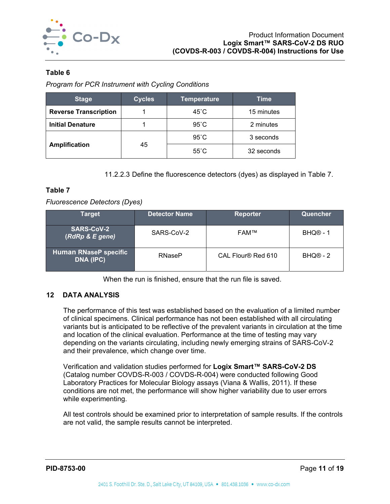

## **Table 6**

*Program for PCR Instrument with Cycling Conditions* 

| <b>Stage</b>                 | <b>Cycles</b> | <b>Temperature</b> | <b>Time</b> |
|------------------------------|---------------|--------------------|-------------|
| <b>Reverse Transcription</b> |               | $45^{\circ}$ C     | 15 minutes  |
| <b>Initial Denature</b>      |               | $95^{\circ}$ C     | 2 minutes   |
|                              |               | $95^{\circ}$ C     | 3 seconds   |
| <b>Amplification</b>         | 45            | $55^{\circ}$ C     | 32 seconds  |

11.2.2.3 Define the fluorescence detectors (dyes) as displayed in Table 7.

### **Table 7**

*Fluorescence Detectors (Dyes)* 

| Tarqet                                    | <b>Detector Name</b> | <b>Reporter</b>    | Quencher             |
|-------------------------------------------|----------------------|--------------------|----------------------|
| <b>SARS-CoV-2</b><br>(RdRp & E gene)      | SARS-CoV-2           | <b>FAM™</b>        | BHQ <sup>®</sup> - 1 |
| <b>Human RNaseP specific</b><br>DNA (IPC) | <b>RNaseP</b>        | CAL Flour® Red 610 | $BHQ@ - 2$           |

When the run is finished, ensure that the run file is saved.

## **12 DATA ANALYSIS**

The performance of this test was established based on the evaluation of a limited number of clinical specimens. Clinical performance has not been established with all circulating variants but is anticipated to be reflective of the prevalent variants in circulation at the time and location of the clinical evaluation. Performance at the time of testing may vary depending on the variants circulating, including newly emerging strains of SARS-CoV-2 and their prevalence, which change over time.

Verification and validation studies performed for **Logix Smart™ SARS-CoV-2 DS** (Catalog number COVDS-R-003 / COVDS-R-004) were conducted following Good Laboratory Practices for Molecular Biology assays (Viana & Wallis, 2011). If these conditions are not met, the performance will show higher variability due to user errors while experimenting.

All test controls should be examined prior to interpretation of sample results. If the controls are not valid, the sample results cannot be interpreted.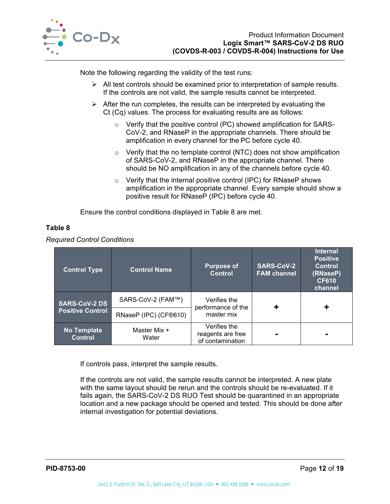

Note the following regarding the validity of the test runs:

- $\triangleright$  All test controls should be examined prior to interpretation of sample results. If the controls are not valid, the sample results cannot be interpreted.
- $\triangleright$  After the run completes, the results can be interpreted by evaluating the Ct (Cq) values. The process for evaluating results are as follows:
	- o Verify that the positive control (PC) showed amplification for SARS-CoV-2, and RNaseP in the appropriate channels. There should be amplification in every channel for the PC before cycle 40.
	- $\circ$  Verify that the no template control (NTC) does not show amplification of SARS-CoV-2, and RNaseP in the appropriate channel. There should be NO amplification in any of the channels before cycle 40.
	- o Verify that the internal positive control (IPC) for RNaseP shows amplification in the appropriate channel. Every sample should show a positive result for RNaseP (IPC) before cycle 40.

Ensure the control conditions displayed in Table 8 are met.

## **Table 8**

*Required Control Conditions* 

| <b>Control Type</b>                  | <b>Control Name</b>   | <b>Purpose of</b><br><b>Control</b>                   | SARS-CoV-2<br><b>FAM channel</b> | <b>Internal</b><br><b>Positive</b><br><b>Control</b><br>(RNaseP)<br><b>CF610</b><br>channel |
|--------------------------------------|-----------------------|-------------------------------------------------------|----------------------------------|---------------------------------------------------------------------------------------------|
| <b>SARS-CoV-2 DS</b>                 | SARS-CoV-2 (FAM™)     | Verifies the<br>performance of the                    |                                  |                                                                                             |
| <b>Positive Control</b>              | RNaseP (IPC) (CF®610) | master mix                                            |                                  |                                                                                             |
| <b>No Template</b><br><b>Control</b> | Master Mix +<br>Water | Verifies the<br>reagents are free<br>of contamination |                                  | $\blacksquare$                                                                              |

If controls pass, interpret the sample results.

If the controls are not valid, the sample results cannot be interpreted. A new plate with the same layout should be rerun and the controls should be re-evaluated. If it fails again, the SARS-CoV-2 DS RUO Test should be quarantined in an appropriate location and a new package should be opened and tested. This should be done after internal investigation for potential deviations.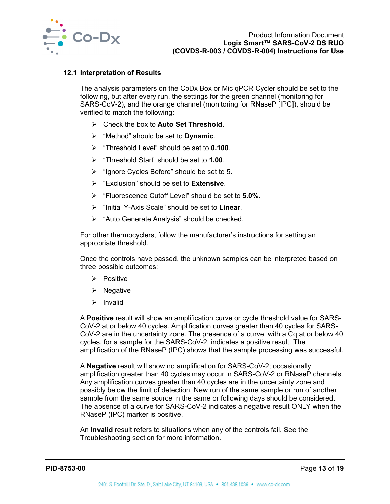

#### **12.1 Interpretation of Results**

The analysis parameters on the CoDx Box or Mic qPCR Cycler should be set to the following, but after every run, the settings for the green channel (monitoring for SARS-CoV-2), and the orange channel (monitoring for RNaseP [IPC]), should be verified to match the following:

- Check the box to **Auto Set Threshold**.
- "Method" should be set to **Dynamic**.
- "Threshold Level" should be set to **0.100**.
- "Threshold Start" should be set to **1.00**.
- $\triangleright$  "Ignore Cycles Before" should be set to 5.
- "Exclusion" should be set to **Extensive**.
- "Fluorescence Cutoff Level" should be set to **5.0%.**
- "Initial Y-Axis Scale" should be set to **Linear**.
- $\triangleright$  "Auto Generate Analysis" should be checked.

For other thermocyclers, follow the manufacturer's instructions for setting an appropriate threshold.

Once the controls have passed, the unknown samples can be interpreted based on three possible outcomes:

- $\triangleright$  Positive
- $\triangleright$  Negative
- $\triangleright$  Invalid

A **Positive** result will show an amplification curve or cycle threshold value for SARS-CoV-2 at or below 40 cycles. Amplification curves greater than 40 cycles for SARS-CoV-2 are in the uncertainty zone. The presence of a curve, with a Cq at or below 40 cycles, for a sample for the SARS-CoV-2, indicates a positive result. The amplification of the RNaseP (IPC) shows that the sample processing was successful.

A **Negative** result will show no amplification for SARS-CoV-2; occasionally amplification greater than 40 cycles may occur in SARS-CoV-2 or RNaseP channels. Any amplification curves greater than 40 cycles are in the uncertainty zone and possibly below the limit of detection. New run of the same sample or run of another sample from the same source in the same or following days should be considered. The absence of a curve for SARS-CoV-2 indicates a negative result ONLY when the RNaseP (IPC) marker is positive.

An **Invalid** result refers to situations when any of the controls fail. See the Troubleshooting section for more information.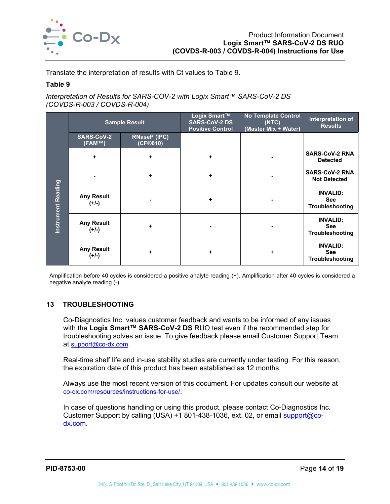

Translate the interpretation of results with Ct values to Table 9.

#### **Table 9**

*Interpretation of Results for SARS-COV-2 with Logix Smart™ SARS-CoV-2 DS (COVDS-R-003 / COVDS-R-004)* 

|                    | <b>Sample Result</b>         |                                 | Logix Smart™<br><b>SARS-CoV-2 DS</b><br><b>Positive Control</b> | <b>No Template Control</b><br>(NTC)<br>(Master Mix + Water) | Interpretation of<br><b>Results</b>              |
|--------------------|------------------------------|---------------------------------|-----------------------------------------------------------------|-------------------------------------------------------------|--------------------------------------------------|
|                    | <b>SARS-CoV-2</b><br>(FAM™)  | <b>RNaseP (IPC)</b><br>(CF@610) |                                                                 |                                                             |                                                  |
|                    | ٠                            | ٠                               | ٠                                                               |                                                             | <b>SARS-CoV-2 RNA</b><br><b>Detected</b>         |
| Instrument Reading |                              | ٠                               | ٠                                                               |                                                             | <b>SARS-CoV-2 RNA</b><br><b>Not Detected</b>     |
|                    | <b>Any Result</b><br>$(+/-)$ |                                 | ٠                                                               |                                                             | <b>INVALID:</b><br><b>See</b><br>Troubleshooting |
|                    | <b>Any Result</b><br>$(+/-)$ | ٠                               |                                                                 |                                                             | <b>INVALID:</b><br><b>See</b><br>Troubleshooting |
|                    | <b>Any Result</b><br>$(+/-)$ | ٠                               | ٠                                                               | ٠                                                           | <b>INVALID:</b><br><b>See</b><br>Troubleshooting |

Amplification before 40 cycles is considered a positive analyte reading (+). Amplification after 40 cycles is considered a negative analyte reading (-).

## **13 TROUBLESHOOTING**

Co-Diagnostics Inc. values customer feedback and wants to be informed of any issues with the **Logix Smart™ SARS-CoV-2 DS** RUO test even if the recommended step for troubleshooting solves an issue. To give feedback please email Customer Support Team at support@co-dx.com.

Real-time shelf life and in-use stability studies are currently under testing. For this reason, the expiration date of this product has been established as 12 months.

Always use the most recent version of this document. For updates consult our website at co-dx.com/resources/instructions-for-use/.

In case of questions handling or using this product, please contact Co-Diagnostics Inc. Customer Support by calling (USA) +1 801-438-1036, ext. 02, or email support@codx.com.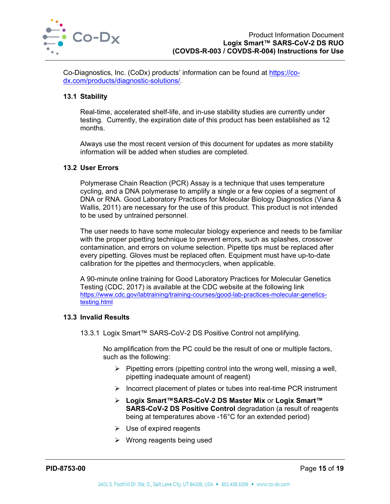

Co-Diagnostics, Inc. (CoDx) products' information can be found at https://codx.com/products/diagnostic-solutions/.

## **13.1 Stability**

Real-time, accelerated shelf-life, and in-use stability studies are currently under testing. Currently, the expiration date of this product has been established as 12 months.

Always use the most recent version of this document for updates as more stability information will be added when studies are completed.

#### **13.2 User Errors**

Polymerase Chain Reaction (PCR) Assay is a technique that uses temperature cycling, and a DNA polymerase to amplify a single or a few copies of a segment of DNA or RNA. Good Laboratory Practices for Molecular Biology Diagnostics (Viana & Wallis, 2011) are necessary for the use of this product. This product is not intended to be used by untrained personnel.

The user needs to have some molecular biology experience and needs to be familiar with the proper pipetting technique to prevent errors, such as splashes, crossover contamination, and errors on volume selection. Pipette tips must be replaced after every pipetting. Gloves must be replaced often. Equipment must have up-to-date calibration for the pipettes and thermocyclers, when applicable.

A 90-minute online training for Good Laboratory Practices for Molecular Genetics Testing (CDC, 2017) is available at the CDC website at the following link https://www.cdc.gov/labtraining/training-courses/good-lab-practices-molecular-geneticstesting.html

#### **13.3 Invalid Results**

13.3.1 Logix Smart™ SARS-CoV-2 DS Positive Control not amplifying.

No amplification from the PC could be the result of one or multiple factors, such as the following:

- $\triangleright$  Pipetting errors (pipetting control into the wrong well, missing a well, pipetting inadequate amount of reagent)
- $\triangleright$  Incorrect placement of plates or tubes into real-time PCR instrument
- **Logix Smart™SARS-CoV-2 DS Master Mix** or **Logix Smart™ SARS-CoV-2 DS Positive Control** degradation (a result of reagents being at temperatures above -16°C for an extended period)
- $\triangleright$  Use of expired reagents
- $\triangleright$  Wrong reagents being used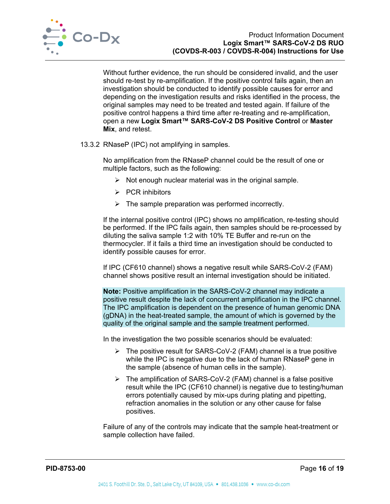

Without further evidence, the run should be considered invalid, and the user should re-test by re-amplification. If the positive control fails again, then an investigation should be conducted to identify possible causes for error and depending on the investigation results and risks identified in the process, the original samples may need to be treated and tested again. If failure of the positive control happens a third time after re-treating and re-amplification, open a new **Logix Smart™ SARS-CoV-2 DS Positive Control** or **Master Mix**, and retest.

13.3.2 RNaseP (IPC) not amplifying in samples.

No amplification from the RNaseP channel could be the result of one or multiple factors, such as the following:

- $\triangleright$  Not enough nuclear material was in the original sample.
- $\triangleright$  PCR inhibitors
- $\triangleright$  The sample preparation was performed incorrectly.

If the internal positive control (IPC) shows no amplification, re-testing should be performed. If the IPC fails again, then samples should be re-processed by diluting the saliva sample 1:2 with 10% TE Buffer and re-run on the thermocycler. If it fails a third time an investigation should be conducted to identify possible causes for error.

If IPC (CF610 channel) shows a negative result while SARS-CoV-2 (FAM) channel shows positive result an internal investigation should be initiated.

**Note:** Positive amplification in the SARS-CoV-2 channel may indicate a positive result despite the lack of concurrent amplification in the IPC channel. The IPC amplification is dependent on the presence of human genomic DNA (gDNA) in the heat-treated sample, the amount of which is governed by the quality of the original sample and the sample treatment performed.

In the investigation the two possible scenarios should be evaluated:

- $\triangleright$  The positive result for SARS-CoV-2 (FAM) channel is a true positive while the IPC is negative due to the lack of human RNaseP gene in the sample (absence of human cells in the sample).
- $\triangleright$  The amplification of SARS-CoV-2 (FAM) channel is a false positive result while the IPC (CF610 channel) is negative due to testing/human errors potentially caused by mix-ups during plating and pipetting, refraction anomalies in the solution or any other cause for false positives.

Failure of any of the controls may indicate that the sample heat-treatment or sample collection have failed.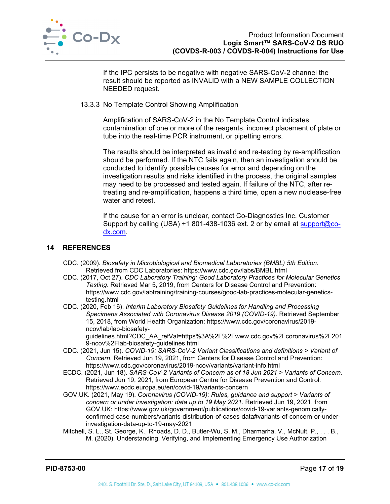

If the IPC persists to be negative with negative SARS-CoV-2 channel the result should be reported as INVALID with a NEW SAMPLE COLLECTION NEEDED request.

#### 13.3.3 No Template Control Showing Amplification

Amplification of SARS-CoV-2 in the No Template Control indicates contamination of one or more of the reagents, incorrect placement of plate or tube into the real-time PCR instrument, or pipetting errors.

The results should be interpreted as invalid and re-testing by re-amplification should be performed. If the NTC fails again, then an investigation should be conducted to identify possible causes for error and depending on the investigation results and risks identified in the process, the original samples may need to be processed and tested again. If failure of the NTC, after retreating and re-amplification, happens a third time, open a new nuclease-free water and retest.

If the cause for an error is unclear, contact Co-Diagnostics Inc. Customer Support by calling (USA) +1 801-438-1036 ext. 2 or by email at support@codx.com.

#### **14 REFERENCES**

- CDC. (2009). *Biosafety in Microbiological and Biomedical Laboratories (BMBL) 5th Edition.* Retrieved from CDC Laboratories: https://www.cdc.gov/labs/BMBL.html
- CDC. (2017, Oct 27). *CDC Laboratory Training: Good Laboratory Practices for Molecular Genetics Testing*. Retrieved Mar 5, 2019, from Centers for Disease Control and Prevention: https://www.cdc.gov/labtraining/training-courses/good-lab-practices-molecular-geneticstesting.html
- CDC. (2020, Feb 16). *Interim Laboratory Biosafety Guidelines for Handling and Processing Specimens Associated with Coronavirus Disease 2019 (COVID-19).* Retrieved September 15, 2018, from World Health Organization: https://www.cdc.gov/coronavirus/2019 ncov/lab/lab-biosafety-

guidelines.html?CDC\_AA\_refVal=https%3A%2F%2Fwww.cdc.gov%2Fcoronavirus%2F201 9-ncov%2Flab-biosafety-guidelines.html

- CDC. (2021, Jun 15). *COVID-19: SARS-CoV-2 Variant Classifications and definitions > Variant of Concern*. Retrieved Jun 19, 2021, from Centers for Disease Control and Prevention: https://www.cdc.gov/coronavirus/2019-ncov/variants/variant-info.html
- ECDC. (2021, Jun 18). *SARS-CoV-2 Variants of Concern as of 18 Jun 2021 > Variants of Concern*. Retrieved Jun 19, 2021, from European Centre for Disease Prevention and Control: https://www.ecdc.europa.eu/en/covid-19/variants-concern
- GOV.UK. (2021, May 19). *Coronavirus (COVID-19): Rules, guidance and support > Variants of concern or under investigation: data up to 19 May 2021*. Retrieved Jun 19, 2021, from GOV.UK: https://www.gov.uk/government/publications/covid-19-variants-genomicallyconfirmed-case-numbers/variants-distribution-of-cases-data#variants-of-concern-or-underinvestigation-data-up-to-19-may-2021
- Mitchell, S. L., St. George, K., Rhoads, D. D., Butler-Wu, S. M., Dharmarha, V., McNult, P., . . . B., M. (2020). Understanding, Verifying, and Implementing Emergency Use Authorization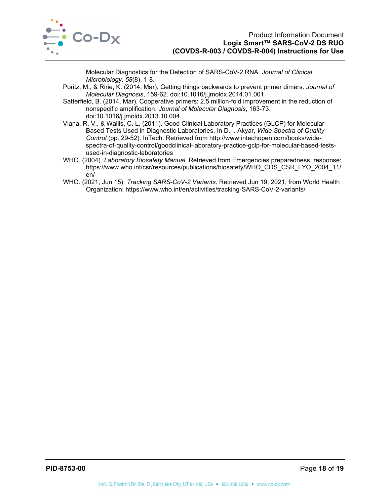

Molecular Diagnostics for the Detection of SARS-CoV-2 RNA. *Journal of Clinical Microbiology, 58*(8), 1-8.

- Poritz, M., & Ririe, K. (2014, Mar). Getting things backwards to prevent primer dimers. *Journal of Molecular Diagnosis*, 159-62. doi:10.1016/j.jmoldx.2014.01.001
- Satterfield, B. (2014, Mar). Cooperative primers: 2.5 million-fold improvement in the reduction of nonspecific amplification. *Journal of Molecular Diagnosis*, 163-73. doi:10.1016/j.jmoldx.2013.10.004
- Viana, R. V., & Wallis, C. L. (2011). Good Clinical Laboratory Practices (GLCP) for Molecular Based Tests Used in Diagnostic Laboratories. In D. I. Akyar, *Wide Spectra of Quality Control* (pp. 29-52). InTech. Retrieved from http://www.intechopen.com/books/widespectra-of-quality-control/goodclinical-laboratory-practice-gclp-for-molecular-based-testsused-in-diagnostic-laboratories
- WHO. (2004). *Laboratory Biosafety Manual.* Retrieved from Emergencies preparedness, response: https://www.who.int/csr/resources/publications/biosafety/WHO\_CDS\_CSR\_LYO\_2004\_11/ en/
- WHO. (2021, Jun 15). *Tracking SARS-CoV-2 Variants*. Retrieved Jun 19, 2021, from World Health Organization: https://www.who.int/en/activities/tracking-SARS-CoV-2-variants/